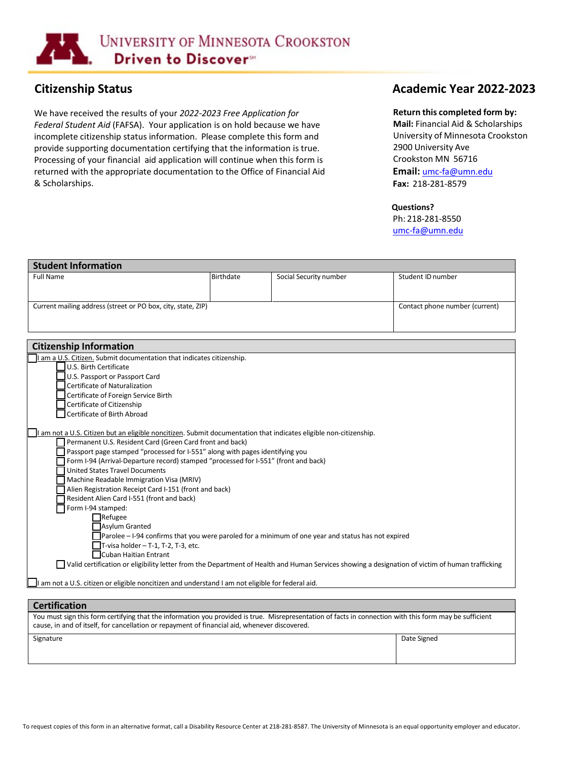

We have received the results of your *2022-2023 Free Application for Federal Student Aid* (FAFSA). Your application is on hold because we have incomplete citizenship status information. Please complete this form and provide supporting documentation certifying that the information is true. Processing of your financial aid application will continue when this form is returned with the appropriate documentation to the Office of Financial Aid & Scholarships.

# **Citizenship Status Academic Year 2022-2023**

### **Return this completed form by:**

**Mail:** Financial Aid & Scholarships University of Minnesota Crookston 2900 University Ave Crookston MN 56716 **Email:** [umc-fa@umn.edu](mailto:umc-fa@umn.edu) **Fax:** 218-281-8579

#### **Questions?**

Ph: 218-281-8550 [umc-fa@umn.edu](mailto:umc-fa@umn.edu)

| <b>Student Information</b>                                                                                                                      |                  |                        |                                |  |  |
|-------------------------------------------------------------------------------------------------------------------------------------------------|------------------|------------------------|--------------------------------|--|--|
| <b>Full Name</b>                                                                                                                                | <b>Birthdate</b> | Social Security number | Student ID number              |  |  |
|                                                                                                                                                 |                  |                        |                                |  |  |
| Current mailing address (street or PO box, city, state, ZIP)                                                                                    |                  |                        | Contact phone number (current) |  |  |
|                                                                                                                                                 |                  |                        |                                |  |  |
|                                                                                                                                                 |                  |                        |                                |  |  |
| <b>Citizenship Information</b>                                                                                                                  |                  |                        |                                |  |  |
| I am a U.S. Citizen. Submit documentation that indicates citizenship.                                                                           |                  |                        |                                |  |  |
| U.S. Birth Certificate                                                                                                                          |                  |                        |                                |  |  |
| U.S. Passport or Passport Card                                                                                                                  |                  |                        |                                |  |  |
| Certificate of Naturalization                                                                                                                   |                  |                        |                                |  |  |
| Certificate of Foreign Service Birth                                                                                                            |                  |                        |                                |  |  |
| Certificate of Citizenship                                                                                                                      |                  |                        |                                |  |  |
| Certificate of Birth Abroad                                                                                                                     |                  |                        |                                |  |  |
|                                                                                                                                                 |                  |                        |                                |  |  |
| I am not a U.S. Citizen but an eligible noncitizen. Submit documentation that indicates eligible non-citizenship.                               |                  |                        |                                |  |  |
| Permanent U.S. Resident Card (Green Card front and back)                                                                                        |                  |                        |                                |  |  |
| Passport page stamped "processed for I-551" along with pages identifying you                                                                    |                  |                        |                                |  |  |
| Form I-94 (Arrival-Departure record) stamped "processed for I-551" (front and back)                                                             |                  |                        |                                |  |  |
| <b>United States Travel Documents</b>                                                                                                           |                  |                        |                                |  |  |
| Machine Readable Immigration Visa (MRIV)                                                                                                        |                  |                        |                                |  |  |
| Alien Registration Receipt Card I-151 (front and back)                                                                                          |                  |                        |                                |  |  |
| Resident Alien Card I-551 (front and back)                                                                                                      |                  |                        |                                |  |  |
| Form I-94 stamped:                                                                                                                              |                  |                        |                                |  |  |
| $\Box$ Refugee                                                                                                                                  |                  |                        |                                |  |  |
| <b>Asylum Granted</b>                                                                                                                           |                  |                        |                                |  |  |
| $\Box$ Parolee – I-94 confirms that you were paroled for a minimum of one year and status has not expired                                       |                  |                        |                                |  |  |
| $\Box$ T-visa holder - T-1, T-2, T-3, etc.                                                                                                      |                  |                        |                                |  |  |
| $\Box$ Cuban Haitian Entrant                                                                                                                    |                  |                        |                                |  |  |
| Valid certification or eligibility letter from the Department of Health and Human Services showing a designation of victim of human trafficking |                  |                        |                                |  |  |
| I am not a U.S. citizen or eligible noncitizen and understand I am not eligible for federal aid.                                                |                  |                        |                                |  |  |
|                                                                                                                                                 |                  |                        |                                |  |  |

## **Certification**

| You must sign this form certifying that the information you provided is true. Misrepresentation of facts in connection with this form may be sufficient<br>cause, in and of itself, for cancellation or repayment of financial aid, whenever discovered. |             |  |  |  |  |
|----------------------------------------------------------------------------------------------------------------------------------------------------------------------------------------------------------------------------------------------------------|-------------|--|--|--|--|
| Signature                                                                                                                                                                                                                                                | Date Signed |  |  |  |  |